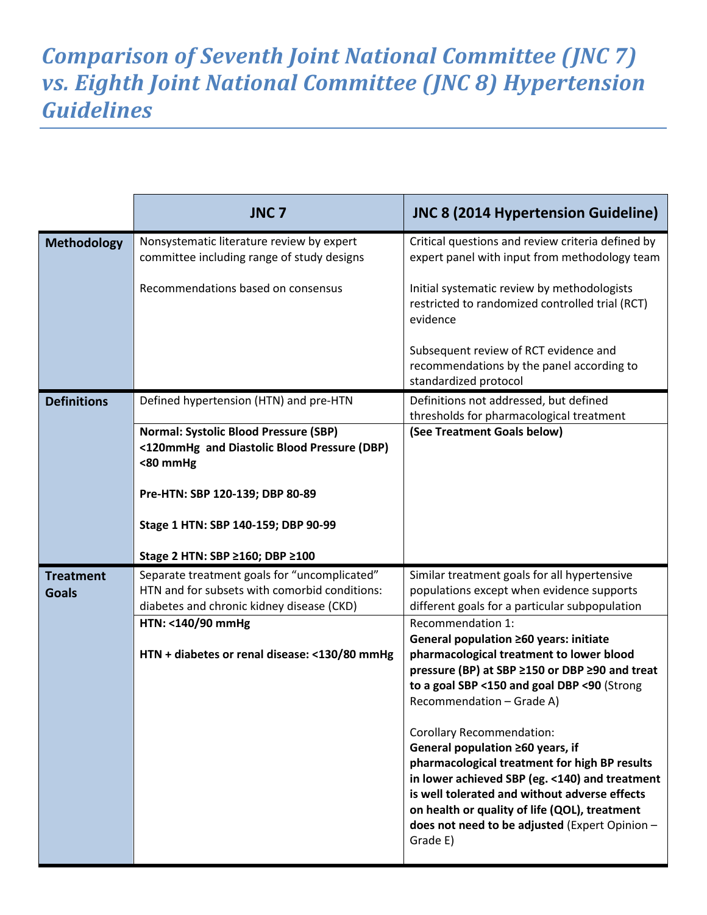## *Comparison of Seventh Joint National Committee (JNC 7) vs. Eighth Joint National Committee (JNC 8) Hypertension Guidelines*

|                                  | JNC <sub>7</sub>                                                                                                                           | <b>JNC 8 (2014 Hypertension Guideline)</b>                                                                                                                                                                                                                                                                                              |
|----------------------------------|--------------------------------------------------------------------------------------------------------------------------------------------|-----------------------------------------------------------------------------------------------------------------------------------------------------------------------------------------------------------------------------------------------------------------------------------------------------------------------------------------|
| <b>Methodology</b>               | Nonsystematic literature review by expert<br>committee including range of study designs                                                    | Critical questions and review criteria defined by<br>expert panel with input from methodology team                                                                                                                                                                                                                                      |
|                                  | Recommendations based on consensus                                                                                                         | Initial systematic review by methodologists<br>restricted to randomized controlled trial (RCT)<br>evidence                                                                                                                                                                                                                              |
|                                  |                                                                                                                                            | Subsequent review of RCT evidence and<br>recommendations by the panel according to<br>standardized protocol                                                                                                                                                                                                                             |
| <b>Definitions</b>               | Defined hypertension (HTN) and pre-HTN                                                                                                     | Definitions not addressed, but defined<br>thresholds for pharmacological treatment                                                                                                                                                                                                                                                      |
|                                  | <b>Normal: Systolic Blood Pressure (SBP)</b><br><120mmHg and Diastolic Blood Pressure (DBP)<br><80 mmHg                                    | (See Treatment Goals below)                                                                                                                                                                                                                                                                                                             |
|                                  | Pre-HTN: SBP 120-139; DBP 80-89                                                                                                            |                                                                                                                                                                                                                                                                                                                                         |
|                                  | Stage 1 HTN: SBP 140-159; DBP 90-99                                                                                                        |                                                                                                                                                                                                                                                                                                                                         |
|                                  | Stage 2 HTN: SBP ≥160; DBP ≥100                                                                                                            |                                                                                                                                                                                                                                                                                                                                         |
| <b>Treatment</b><br><b>Goals</b> | Separate treatment goals for "uncomplicated"<br>HTN and for subsets with comorbid conditions:<br>diabetes and chronic kidney disease (CKD) | Similar treatment goals for all hypertensive<br>populations except when evidence supports<br>different goals for a particular subpopulation                                                                                                                                                                                             |
|                                  | HTN: <140/90 mmHg                                                                                                                          | Recommendation 1:                                                                                                                                                                                                                                                                                                                       |
|                                  | HTN + diabetes or renal disease: <130/80 mmHg                                                                                              | General population ≥60 years: initiate<br>pharmacological treatment to lower blood<br>pressure (BP) at SBP ≥150 or DBP ≥90 and treat<br>to a goal SBP <150 and goal DBP <90 (Strong<br>Recommendation - Grade A)                                                                                                                        |
|                                  |                                                                                                                                            | <b>Corollary Recommendation:</b><br>General population ≥60 years, if<br>pharmacological treatment for high BP results<br>in lower achieved SBP (eg. <140) and treatment<br>is well tolerated and without adverse effects<br>on health or quality of life (QOL), treatment<br>does not need to be adjusted (Expert Opinion -<br>Grade E) |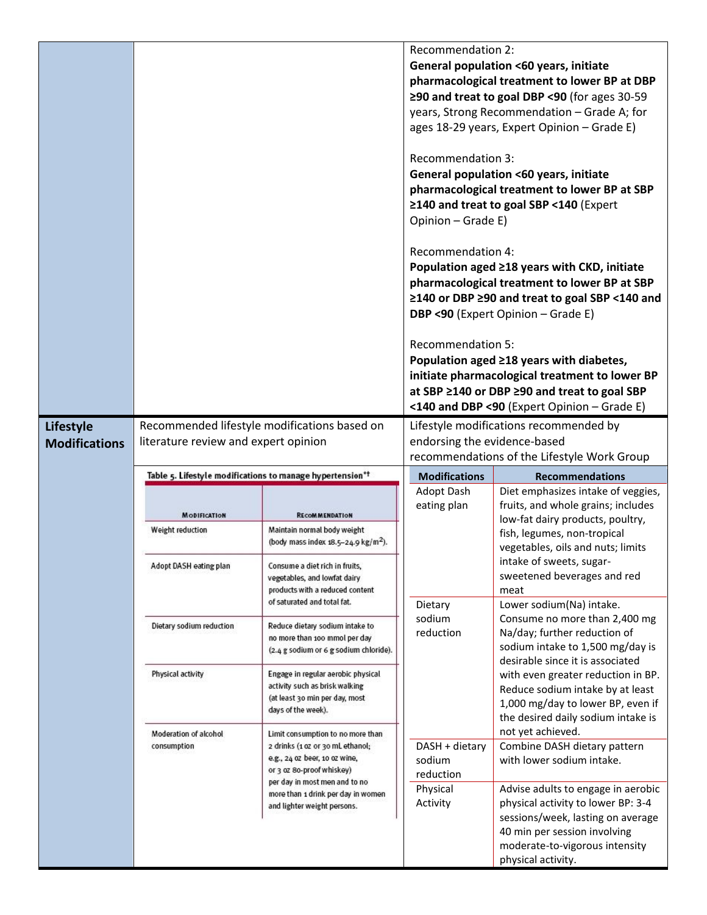|                                          |                                                                                      |                                                                         | <b>Recommendation 2:</b><br><b>Recommendation 3:</b><br>Opinion - Grade E)<br>Recommendation 4:<br><b>Recommendation 5:</b> | General population <60 years, initiate<br>pharmacological treatment to lower BP at DBP<br>≥90 and treat to goal DBP <90 (for ages 30-59<br>years, Strong Recommendation - Grade A; for<br>ages 18-29 years, Expert Opinion - Grade E)<br>General population <60 years, initiate<br>pharmacological treatment to lower BP at SBP<br>≥140 and treat to goal SBP <140 (Expert<br>Population aged ≥18 years with CKD, initiate<br>pharmacological treatment to lower BP at SBP<br>≥140 or DBP ≥90 and treat to goal SBP <140 and<br>DBP <90 (Expert Opinion - Grade E)<br>Population aged ≥18 years with diabetes,<br>initiate pharmacological treatment to lower BP<br>at SBP ≥140 or DBP ≥90 and treat to goal SBP<br><140 and DBP <90 (Expert Opinion - Grade E) |
|------------------------------------------|--------------------------------------------------------------------------------------|-------------------------------------------------------------------------|-----------------------------------------------------------------------------------------------------------------------------|-----------------------------------------------------------------------------------------------------------------------------------------------------------------------------------------------------------------------------------------------------------------------------------------------------------------------------------------------------------------------------------------------------------------------------------------------------------------------------------------------------------------------------------------------------------------------------------------------------------------------------------------------------------------------------------------------------------------------------------------------------------------|
| <b>Lifestyle</b><br><b>Modifications</b> | Recommended lifestyle modifications based on<br>literature review and expert opinion |                                                                         | Lifestyle modifications recommended by<br>endorsing the evidence-based                                                      |                                                                                                                                                                                                                                                                                                                                                                                                                                                                                                                                                                                                                                                                                                                                                                 |
|                                          |                                                                                      |                                                                         | recommendations of the Lifestyle Work Group                                                                                 |                                                                                                                                                                                                                                                                                                                                                                                                                                                                                                                                                                                                                                                                                                                                                                 |
|                                          |                                                                                      | Table 5. Lifestyle modifications to manage hypertension*+               | <b>Modifications</b>                                                                                                        | <b>Recommendations</b>                                                                                                                                                                                                                                                                                                                                                                                                                                                                                                                                                                                                                                                                                                                                          |
|                                          |                                                                                      |                                                                         | Adopt Dash                                                                                                                  | Diet emphasizes intake of veggies,                                                                                                                                                                                                                                                                                                                                                                                                                                                                                                                                                                                                                                                                                                                              |
|                                          |                                                                                      |                                                                         |                                                                                                                             |                                                                                                                                                                                                                                                                                                                                                                                                                                                                                                                                                                                                                                                                                                                                                                 |
|                                          | <b>MODIFICATION</b>                                                                  | <b>RECOMMENDATION</b>                                                   | eating plan                                                                                                                 | fruits, and whole grains; includes<br>low-fat dairy products, poultry,                                                                                                                                                                                                                                                                                                                                                                                                                                                                                                                                                                                                                                                                                          |
|                                          | Weight reduction                                                                     | Maintain normal body weight                                             |                                                                                                                             | fish, legumes, non-tropical                                                                                                                                                                                                                                                                                                                                                                                                                                                                                                                                                                                                                                                                                                                                     |
|                                          |                                                                                      | (body mass index 18.5-24.9 kg/m <sup>2</sup> ).                         |                                                                                                                             | vegetables, oils and nuts; limits                                                                                                                                                                                                                                                                                                                                                                                                                                                                                                                                                                                                                                                                                                                               |
|                                          | Adopt DASH eating plan                                                               | Consume a diet rich in fruits,                                          |                                                                                                                             | intake of sweets, sugar-                                                                                                                                                                                                                                                                                                                                                                                                                                                                                                                                                                                                                                                                                                                                        |
|                                          |                                                                                      | vegetables, and lowfat dairy<br>products with a reduced content         |                                                                                                                             | sweetened beverages and red<br>meat                                                                                                                                                                                                                                                                                                                                                                                                                                                                                                                                                                                                                                                                                                                             |
|                                          |                                                                                      | of saturated and total fat.                                             | Dietary                                                                                                                     | Lower sodium(Na) intake.                                                                                                                                                                                                                                                                                                                                                                                                                                                                                                                                                                                                                                                                                                                                        |
|                                          | Dietary sodium reduction                                                             | Reduce dietary sodium intake to                                         | sodium                                                                                                                      | Consume no more than 2,400 mg                                                                                                                                                                                                                                                                                                                                                                                                                                                                                                                                                                                                                                                                                                                                   |
|                                          |                                                                                      | no more than 100 mmol per day<br>(2.4 g sodium or 6 g sodium chloride). | reduction                                                                                                                   | Na/day; further reduction of<br>sodium intake to 1,500 mg/day is                                                                                                                                                                                                                                                                                                                                                                                                                                                                                                                                                                                                                                                                                                |
|                                          |                                                                                      |                                                                         |                                                                                                                             | desirable since it is associated                                                                                                                                                                                                                                                                                                                                                                                                                                                                                                                                                                                                                                                                                                                                |
|                                          | Physical activity                                                                    | Engage in regular aerobic physical<br>activity such as brisk walking    |                                                                                                                             | with even greater reduction in BP.                                                                                                                                                                                                                                                                                                                                                                                                                                                                                                                                                                                                                                                                                                                              |
|                                          |                                                                                      | (at least 30 min per day, most                                          |                                                                                                                             | Reduce sodium intake by at least<br>1,000 mg/day to lower BP, even if                                                                                                                                                                                                                                                                                                                                                                                                                                                                                                                                                                                                                                                                                           |
|                                          |                                                                                      | days of the week).                                                      |                                                                                                                             | the desired daily sodium intake is                                                                                                                                                                                                                                                                                                                                                                                                                                                                                                                                                                                                                                                                                                                              |
|                                          | Moderation of alcohol<br>consumption                                                 | Limit consumption to no more than                                       |                                                                                                                             | not yet achieved.                                                                                                                                                                                                                                                                                                                                                                                                                                                                                                                                                                                                                                                                                                                                               |
|                                          |                                                                                      | 2 drinks (1 oz or 30 mL ethanol;<br>e.g., 24 oz beer, 10 oz wine,       | DASH + dietary<br>sodium                                                                                                    | Combine DASH dietary pattern<br>with lower sodium intake.                                                                                                                                                                                                                                                                                                                                                                                                                                                                                                                                                                                                                                                                                                       |
|                                          |                                                                                      | or 3 oz 8o-proof whiskey)<br>per day in most men and to no              | reduction                                                                                                                   |                                                                                                                                                                                                                                                                                                                                                                                                                                                                                                                                                                                                                                                                                                                                                                 |
|                                          |                                                                                      | more than 1 drink per day in women                                      | Physical                                                                                                                    | Advise adults to engage in aerobic                                                                                                                                                                                                                                                                                                                                                                                                                                                                                                                                                                                                                                                                                                                              |
|                                          |                                                                                      | and lighter weight persons.                                             | Activity                                                                                                                    | physical activity to lower BP: 3-4<br>sessions/week, lasting on average                                                                                                                                                                                                                                                                                                                                                                                                                                                                                                                                                                                                                                                                                         |
|                                          |                                                                                      |                                                                         |                                                                                                                             | 40 min per session involving                                                                                                                                                                                                                                                                                                                                                                                                                                                                                                                                                                                                                                                                                                                                    |
|                                          |                                                                                      |                                                                         |                                                                                                                             | moderate-to-vigorous intensity<br>physical activity.                                                                                                                                                                                                                                                                                                                                                                                                                                                                                                                                                                                                                                                                                                            |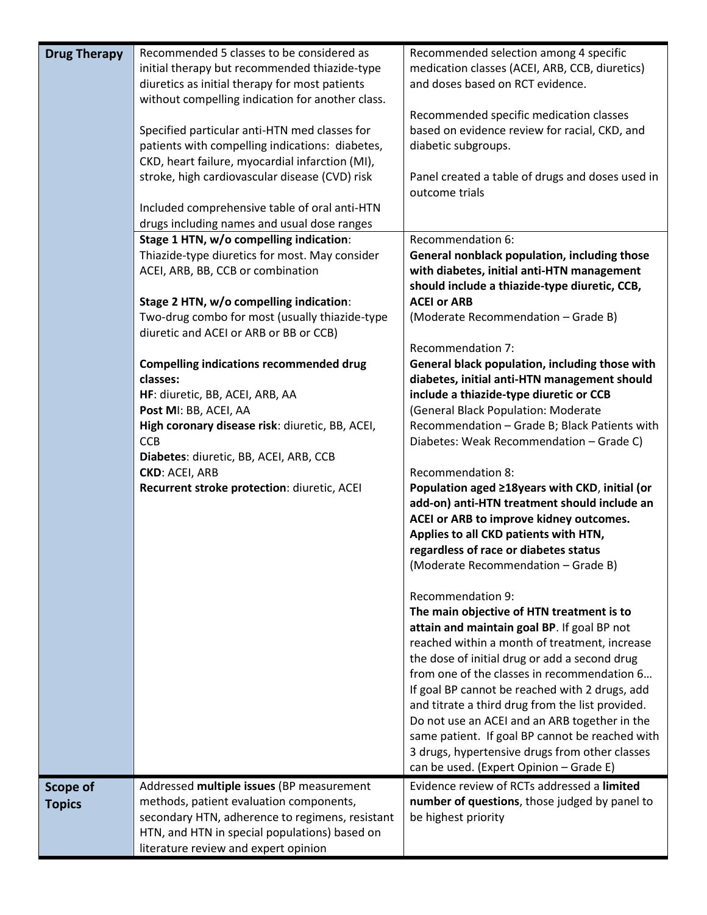| <b>Drug Therapy</b>       | Recommended 5 classes to be considered as<br>initial therapy but recommended thiazide-type<br>diuretics as initial therapy for most patients<br>without compelling indication for another class.<br>Specified particular anti-HTN med classes for<br>patients with compelling indications: diabetes,<br>CKD, heart failure, myocardial infarction (MI),<br>stroke, high cardiovascular disease (CVD) risk<br>Included comprehensive table of oral anti-HTN | Recommended selection among 4 specific<br>medication classes (ACEI, ARB, CCB, diuretics)<br>and doses based on RCT evidence.<br>Recommended specific medication classes<br>based on evidence review for racial, CKD, and<br>diabetic subgroups.<br>Panel created a table of drugs and doses used in<br>outcome trials                                                                                                                                                                                                                                                        |
|---------------------------|------------------------------------------------------------------------------------------------------------------------------------------------------------------------------------------------------------------------------------------------------------------------------------------------------------------------------------------------------------------------------------------------------------------------------------------------------------|------------------------------------------------------------------------------------------------------------------------------------------------------------------------------------------------------------------------------------------------------------------------------------------------------------------------------------------------------------------------------------------------------------------------------------------------------------------------------------------------------------------------------------------------------------------------------|
|                           | drugs including names and usual dose ranges                                                                                                                                                                                                                                                                                                                                                                                                                | Recommendation 6:                                                                                                                                                                                                                                                                                                                                                                                                                                                                                                                                                            |
|                           | Stage 1 HTN, w/o compelling indication:<br>Thiazide-type diuretics for most. May consider<br>ACEI, ARB, BB, CCB or combination                                                                                                                                                                                                                                                                                                                             | General nonblack population, including those<br>with diabetes, initial anti-HTN management<br>should include a thiazide-type diuretic, CCB,<br><b>ACEI or ARB</b>                                                                                                                                                                                                                                                                                                                                                                                                            |
|                           | Stage 2 HTN, w/o compelling indication:<br>Two-drug combo for most (usually thiazide-type<br>diuretic and ACEI or ARB or BB or CCB)                                                                                                                                                                                                                                                                                                                        | (Moderate Recommendation - Grade B)                                                                                                                                                                                                                                                                                                                                                                                                                                                                                                                                          |
|                           | <b>Compelling indications recommended drug</b><br>classes:<br>HF: diuretic, BB, ACEI, ARB, AA                                                                                                                                                                                                                                                                                                                                                              | Recommendation 7:<br>General black population, including those with<br>diabetes, initial anti-HTN management should<br>include a thiazide-type diuretic or CCB                                                                                                                                                                                                                                                                                                                                                                                                               |
|                           | Post MI: BB, ACEI, AA<br>High coronary disease risk: diuretic, BB, ACEI,<br><b>CCB</b><br>Diabetes: diuretic, BB, ACEI, ARB, CCB                                                                                                                                                                                                                                                                                                                           | (General Black Population: Moderate<br>Recommendation - Grade B; Black Patients with<br>Diabetes: Weak Recommendation - Grade C)                                                                                                                                                                                                                                                                                                                                                                                                                                             |
|                           | <b>CKD: ACEI, ARB</b><br>Recurrent stroke protection: diuretic, ACEI                                                                                                                                                                                                                                                                                                                                                                                       | <b>Recommendation 8:</b><br>Population aged ≥18years with CKD, initial (or<br>add-on) anti-HTN treatment should include an<br>ACEI or ARB to improve kidney outcomes.<br>Applies to all CKD patients with HTN,<br>regardless of race or diabetes status<br>(Moderate Recommendation – Grade B)                                                                                                                                                                                                                                                                               |
|                           |                                                                                                                                                                                                                                                                                                                                                                                                                                                            | <b>Recommendation 9:</b><br>The main objective of HTN treatment is to<br>attain and maintain goal BP. If goal BP not<br>reached within a month of treatment, increase<br>the dose of initial drug or add a second drug<br>from one of the classes in recommendation 6<br>If goal BP cannot be reached with 2 drugs, add<br>and titrate a third drug from the list provided.<br>Do not use an ACEI and an ARB together in the<br>same patient. If goal BP cannot be reached with<br>3 drugs, hypertensive drugs from other classes<br>can be used. (Expert Opinion - Grade E) |
| Scope of<br><b>Topics</b> | Addressed multiple issues (BP measurement<br>methods, patient evaluation components,<br>secondary HTN, adherence to regimens, resistant<br>HTN, and HTN in special populations) based on<br>literature review and expert opinion                                                                                                                                                                                                                           | Evidence review of RCTs addressed a limited<br>number of questions, those judged by panel to<br>be highest priority                                                                                                                                                                                                                                                                                                                                                                                                                                                          |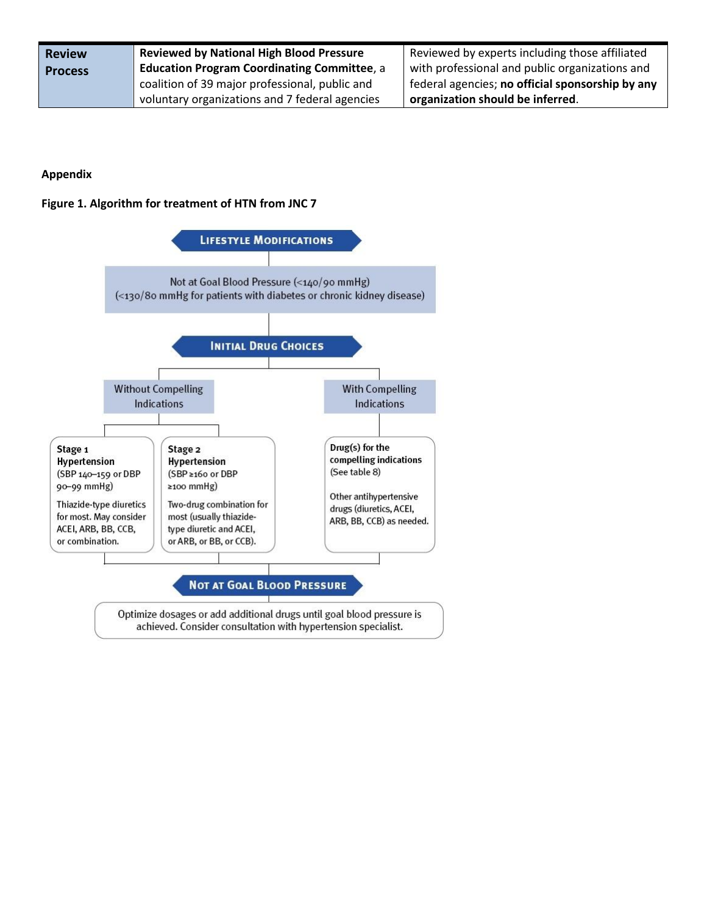| <b>Review</b>  | <b>Reviewed by National High Blood Pressure</b>    | Reviewed by experts including those affiliated   |
|----------------|----------------------------------------------------|--------------------------------------------------|
| <b>Process</b> | <b>Education Program Coordinating Committee, a</b> | with professional and public organizations and   |
|                | coalition of 39 major professional, public and     | federal agencies; no official sponsorship by any |
|                | voluntary organizations and 7 federal agencies     | organization should be inferred.                 |

## **Appendix**

## **Figure 1. Algorithm for treatment of HTN from JNC 7**